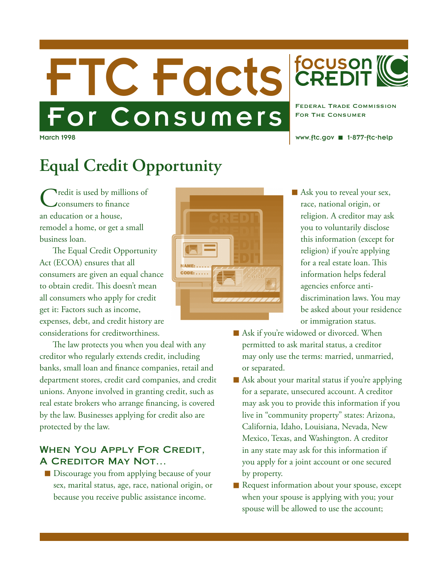# FTC Facts **FEDERAL TRADE COMMISSION**

March 1998

# **Equal Credit Opportunity**

**Tredit is used by millions of** consumers to finance an education or a house, remodel a home, or get a small business loan.

The Equal Credit Opportunity Act (ECOA) ensures that all consumers are given an equal chance to obtain credit. This doesn't mean all consumers who apply for credit get it: Factors such as income, expenses, debt, and credit history are considerations for creditworthiness.

The law protects you when you deal with any creditor who regularly extends credit, including banks, small loan and finance companies, retail and department stores, credit card companies, and credit unions. Anyone involved in granting credit, such as real estate brokers who arrange financing, is covered by the law. Businesses applying for credit also are protected by the law.

# When You Apply For Credit, A Creditor May Not...

**Discourage you from applying because of your** sex, marital status, age, race, national origin, or because you receive public assistance income.

- race, national origin, or religion. A creditor may ask you to voluntarily disclose this information (except for religion) if you're applying for a real estate loan. This information helps federal agencies enforce antidiscrimination laws. You may be asked about your residence or immigration status.
	- Ask if you're widowed or divorced. When permitted to ask marital status, a creditor may only use the terms: married, unmarried, or separated.
	- Ask about your marital status if you're applying for a separate, unsecured account. A creditor may ask you to provide this information if you live in "community property" states: Arizona, California, Idaho, Louisiana, Nevada, New Mexico, Texas, and Washington. A creditor in any state may ask for this information if you apply for a joint account or one secured by property.
	- Request information about your spouse, except when your spouse is applying with you; your spouse will be allowed to use the account;







Ask you to reveal your sex,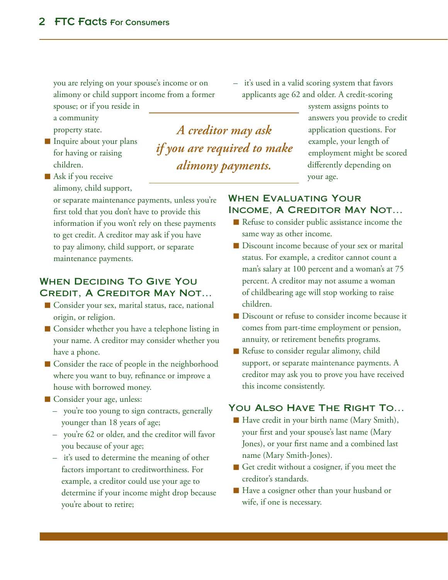you are relying on your spouse's income or on alimony or child support income from a former spouse; or if you reside in

a community

property state.

Inquire about your plans for having or raising children.

Ask if you receive

alimony, child support,

or separate maintenance payments, unless you're first told that you don't have to provide this information if you won't rely on these payments to get credit. A creditor may ask if you have to pay alimony, child support, or separate maintenance payments.

## When Deciding To Give You Credit, A Creditor May Not...

- **Consider your sex, marital status, race, national** origin, or religion.
- Consider whether you have a telephone listing in your name. A creditor may consider whether you have a phone.
- Consider the race of people in the neighborhood where you want to buy, refinance or improve a house with borrowed money.
- Consider your age, unless:
	- you're too young to sign contracts, generally younger than 18 years of age;
	- you're 62 or older, and the creditor will favor you because of your age;
	- it's used to determine the meaning of other factors important to creditworthiness. For example, a creditor could use your age to determine if your income might drop because you're about to retire;

it's used in a valid scoring system that favors applicants age 62 and older. A credit-scoring

> system assigns points to answers you provide to credit application questions. For example, your length of employment might be scored differently depending on your age.

#### When Evaluating Your Income, A Creditor May Not...

- Refuse to consider public assistance income the same way as other income.
- Discount income because of your sex or marital status. For example, a creditor cannot count a man's salary at 100 percent and a woman's at 75 percent. A creditor may not assume a woman of childbearing age will stop working to raise children.
- Discount or refuse to consider income because it comes from part-time employment or pension, annuity, or retirement benefits programs.
- Refuse to consider regular alimony, child support, or separate maintenance payments. A creditor may ask you to prove you have received this income consistently.

### YOU ALSO HAVE THE RIGHT TO...

- Have credit in your birth name (Mary Smith), your first and your spouse's last name (Mary Jones), or your first name and a combined last name (Mary Smith-Jones).
- Get credit without a cosigner, if you meet the creditor's standards.
- Have a cosigner other than your husband or wife, if one is necessary.

*A creditor may ask if you are required to make alimony payments.*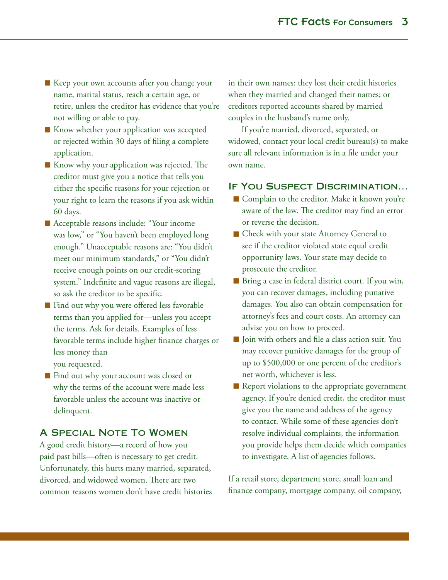- Keep your own accounts after you change your name, marital status, reach a certain age, or retire, unless the creditor has evidence that you're not willing or able to pay.
- Know whether your application was accepted or rejected within 30 days of filing a complete application.
- Know why your application was rejected. The creditor must give you a notice that tells you either the specific reasons for your rejection or your right to learn the reasons if you ask within 60 days.
- Acceptable reasons include: "Your income" was low," or "You haven't been employed long enough." Unacceptable reasons are: "You didn't meet our minimum standards," or "You didn't receive enough points on our credit-scoring system." Indefinite and vague reasons are illegal, so ask the creditor to be specific.
- Find out why you were offered less favorable terms than you applied for—unless you accept the terms. Ask for details. Examples of less favorable terms include higher finance charges or less money than

you requested.

**Find out why your account was closed or** why the terms of the account were made less favorable unless the account was inactive or delinquent.

#### A Special Note To Women

A good credit history—a record of how you paid past bills—often is necessary to get credit. Unfortunately, this hurts many married, separated, divorced, and widowed women. There are two common reasons women don't have credit histories in their own names: they lost their credit histories when they married and changed their names; or creditors reported accounts shared by married couples in the husband's name only.

If you're married, divorced, separated, or widowed, contact your local credit bureau(s) to make sure all relevant information is in a file under your own name.

#### If You Suspect Discrimination...

- Complain to the creditor. Make it known you're aware of the law. The creditor may find an error or reverse the decision.
- Check with your state Attorney General to see if the creditor violated state equal credit opportunity laws. Your state may decide to prosecute the creditor.
- **Bring a case in federal district court. If you win,** you can recover damages, including punative damages. You also can obtain compensation for attorney's fees and court costs. An attorney can advise you on how to proceed.
- Join with others and file a class action suit. You may recover punitive damages for the group of up to \$500,000 or one percent of the creditor's net worth, whichever is less.
- Report violations to the appropriate government agency. If you're denied credit, the creditor must give you the name and address of the agency to contact. While some of these agencies don't resolve individual complaints, the information you provide helps them decide which companies to investigate. A list of agencies follows.

If a retail store, department store, small loan and finance company, mortgage company, oil company,